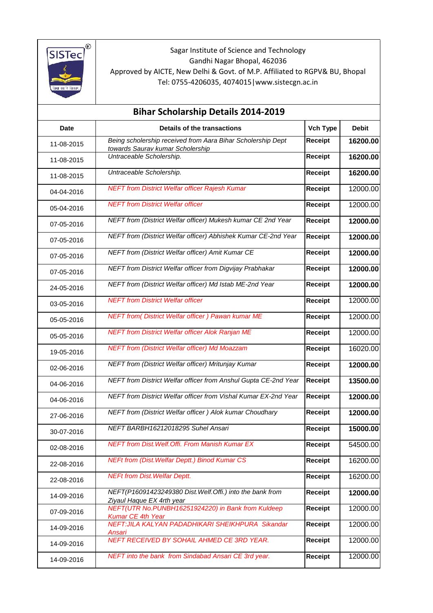

Sagar Institute of Science and Technology Gandhi Nagar Bhopal, 462036 Approved by AICTE, New Delhi & Govt. of M.P. Affiliated to RGPV& BU, Bhopal Tel: 0755-4206035, 4074015|www.sistecgn.ac.in

| <b>Bihar Scholarship Details 2014-2019</b>         |                                                                                                 |                 |              |  |  |
|----------------------------------------------------|-------------------------------------------------------------------------------------------------|-----------------|--------------|--|--|
| <b>Date</b>                                        | Details of the transactions                                                                     | <b>Vch Type</b> | <b>Debit</b> |  |  |
| 11-08-2015                                         | Being scholership received from Aara Bihar Scholership Dept<br>towards Saurav kumar Scholership | Receipt         | 16200.00     |  |  |
| Untraceable Scholership.<br>11-08-2015             |                                                                                                 | Receipt         | 16200.00     |  |  |
| Untraceable Scholership.<br>11-08-2015             |                                                                                                 | Receipt         | 16200.00     |  |  |
| 04-04-2016                                         | <b>NEFT from District Welfar officer Rajesh Kumar</b>                                           | Receipt         | 12000.00     |  |  |
| 05-04-2016                                         | <b>NEFT from District Welfar officer</b>                                                        | Receipt         | 12000.00     |  |  |
| 07-05-2016                                         | NEFT from (District Welfar officer) Mukesh kumar CE 2nd Year                                    | Receipt         | 12000.00     |  |  |
| 07-05-2016                                         | NEFT from (District Welfar officer) Abhishek Kumar CE-2nd Year                                  | Receipt         | 12000.00     |  |  |
| 07-05-2016                                         | NEFT from (District Welfar officer) Amit Kumar CE                                               | Receipt         | 12000.00     |  |  |
| 07-05-2016                                         | NEFT from District Welfar officer from Digvijay Prabhakar                                       | Receipt         | 12000.00     |  |  |
| 24-05-2016                                         | NEFT from (District Welfar officer) Md Istab ME-2nd Year                                        | Receipt         | 12000.00     |  |  |
| 03-05-2016                                         | <b>NEFT from District Welfar officer</b>                                                        | Receipt         | 12000.00     |  |  |
| 05-05-2016                                         | <b>NEFT from( District Welfar officer ) Pawan kumar ME</b>                                      | Receipt         | 12000.00     |  |  |
| 05-05-2016                                         | <b>NEFT from District Welfar officer Alok Ranjan ME</b>                                         | Receipt         | 12000.00     |  |  |
| 19-05-2016                                         | <b>NEFT from (District Welfar officer) Md Moazzam</b>                                           | Receipt         | 16020.00     |  |  |
| 02-06-2016                                         | NEFT from (District Welfar officer) Mritunjay Kumar                                             | Receipt         | 12000.00     |  |  |
| 04-06-2016                                         | NEFT from District Welfar officer from Anshul Gupta CE-2nd Year                                 | Receipt         | 13500.00     |  |  |
| 04-06-2016                                         | NEFT from District Welfar officer from Vishal Kumar EX-2nd Year                                 | Receipt         | 12000.00     |  |  |
| 27-06-2016                                         | NEFT from (District Welfar officer) Alok kumar Choudhary                                        | Receipt         | 12000.00     |  |  |
| 30-07-2016                                         | NEFT BARBH16212018295 Suhel Ansari                                                              | Receipt         | 15000.00     |  |  |
| 02-08-2016                                         | <b>NEFT from Dist. Welf. Offi. From Manish Kumar EX</b>                                         | Receipt         | 54500.00     |  |  |
| 22-08-2016                                         | <b>NEFt from (Dist. Welfar Deptt.) Binod Kumar CS</b>                                           | Receipt         | 16200.00     |  |  |
| <b>NEFt from Dist. Welfar Deptt.</b><br>22-08-2016 |                                                                                                 | Receipt         | 16200.00     |  |  |
| 14-09-2016<br>Ziyaul Haque EX 4rth year            | NEFT(P16091423249380 Dist. Welf. Offi.) into the bank from                                      | Receipt         | 12000.00     |  |  |
| 07-09-2016<br>Kumar CE 4th Year                    | NEFT(UTR No.PUNBH16251924220) in Bank from Kuldeep                                              | Receipt         | 12000.00     |  |  |
| 14-09-2016<br>Ansari                               | NEFT: JILA KALYAN PADADHIKARI SHEIKHPURA Sikandar                                               | Receipt         | 12000.00     |  |  |
| 14-09-2016                                         | NEFT RECEIVED BY SOHAIL AHMED CE 3RD YEAR.                                                      | Receipt         | 12000.00     |  |  |
| 14-09-2016                                         | NEFT into the bank from Sindabad Ansari CE 3rd year.                                            | Receipt         | 12000.00     |  |  |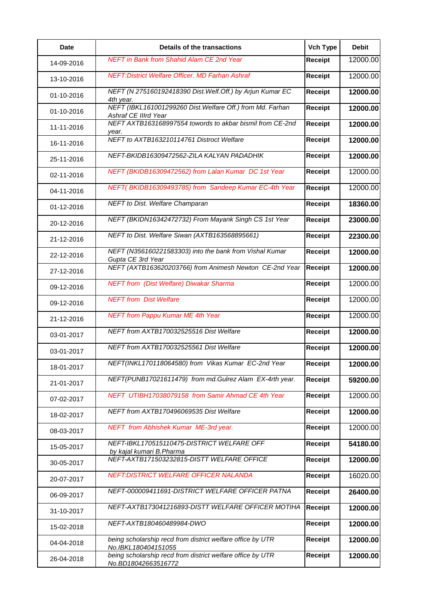| <b>Date</b> | Details of the transactions                                                        | Vch Type       | <b>Debit</b> |
|-------------|------------------------------------------------------------------------------------|----------------|--------------|
| 14-09-2016  | <b>NEFT in Bank from Shahid Alam CE 2nd Year</b>                                   | <b>Receipt</b> | 12000.00     |
| 13-10-2016  | NEFT: District Welfare Officer. MD Farhan Ashraf                                   | <b>Receipt</b> | 12000.00     |
| 01-10-2016  | NEFT (N 275160192418390 Dist. Welf. Off.) by Arjun Kumar EC<br>4th year.           | <b>Receipt</b> | 12000.00     |
| 01-10-2016  | NEFT (IBKL161001299260 Dist. Welfare Off.) from Md. Farhan<br>Ashraf CE IIIrd Year | <b>Receipt</b> | 12000.00     |
| 11-11-2016  | NEFT AXTB163168997554 towords to akbar bismil from CE-2nd<br>year.                 | <b>Receipt</b> | 12000.00     |
| 16-11-2016  | NEFT to AXTB163210114761 Distroct Welfare                                          | <b>Receipt</b> | 12000.00     |
| 25-11-2016  | NEFT-BKIDB16309472562-ZILA KALYAN PADADHIK                                         | Receipt        | 12000.00     |
| 02-11-2016  | NEFT (BKIDB16309472562) from Lalan Kumar DC 1st Year                               | <b>Receipt</b> | 12000.00     |
| 04-11-2016  | NEFT(BKIDB16309493785) from Sandeep Kumar EC-4th Year                              | <b>Receipt</b> | 12000.00     |
| 01-12-2016  | NEFT to Dist. Welfare Champaran                                                    | <b>Receipt</b> | 18360.00     |
| 20-12-2016  | NEFT (BKIDN16342472732) From Mayank Singh CS 1st Year                              | <b>Receipt</b> | 23000.00     |
| 21-12-2016  | NEFT to Dist. Welfare Siwan (AXTB163568895661)                                     | <b>Receipt</b> | 22300.00     |
| 22-12-2016  | NEFT (N356160221583303) into the bank from Vishal Kumar<br>Gupta CE 3rd Year       | Receipt        | 12000.00     |
| 27-12-2016  | NEFT (AXTB163620203766) from Animesh Newton CE-2nd Year                            | <b>Receipt</b> | 12000.00     |
| 09-12-2016  | <b>NEFT from (Dist Welfare) Diwakar Sharma</b>                                     | <b>Receipt</b> | 12000.00     |
| 09-12-2016  | <b>NEFT</b> from Dist Welfare                                                      | <b>Receipt</b> | 12000.00     |
| 21-12-2016  | <b>NEFT from Pappu Kumar ME 4th Year</b>                                           | <b>Receipt</b> | 12000.00     |
| 03-01-2017  | NEFT from AXTB170032525516 Dist Welfare                                            | <b>Receipt</b> | 12000.00     |
| 03-01-2017  | NEFT from AXTB170032525561 Dist Welfare                                            | Receipt        | 12000.00     |
| 18-01-2017  | NEFT(INKL170118064580) from Vikas Kumar EC-2nd Year                                | <b>Receipt</b> | 12000.00     |
| 21-01-2017  | NEFT(PUNB17021611479) from md. Gulrez Alam EX-4rth year.                           | <b>Receipt</b> | 59200.00     |
| 07-02-2017  | NEFT UTIBH17038079158 from Samir Ahmad CE 4th Year                                 | Receipt        | 12000.00     |
| 18-02-2017  | NEFT from AXTB170496069535 Dist Welfare                                            | <b>Receipt</b> | 12000.00     |
| 08-03-2017  | NEFT from Abhishek Kumar ME-3rd year.                                              | <b>Receipt</b> | 12000.00     |
| 15-05-2017  | NEFT-IBKL170515110475-DISTRICT WELFARE OFF<br>by kajal kumari B.Pharma             | <b>Receipt</b> | 54180.00     |
| 30-05-2017  | NEFT-AXTB171503232815-DISTT WELFARE OFFICE                                         | <b>Receipt</b> | 12000.00     |
| 20-07-2017  | NEFT: DISTRICT WELFARE OFFICER NALANDA                                             | <b>Receipt</b> | 16020.00     |
| 06-09-2017  | NEFT-000009411691-DISTRICT WELFARE OFFICER PATNA                                   | <b>Receipt</b> | 26400.00     |
| 31-10-2017  | NEFT-AXTB173041216893-DISTT WELFARE OFFICER MOTIHA                                 | <b>Receipt</b> | 12000.00     |
| 15-02-2018  | NEFT-AXTB180460489984-DWO                                                          | <b>Receipt</b> | 12000.00     |
| 04-04-2018  | being scholarship recd from district welfare office by UTR<br>No.IBKL180404151055  | <b>Receipt</b> | 12000.00     |
| 26-04-2018  | being scholarship recd from district welfare office by UTR<br>No.BD18042663516772  | <b>Receipt</b> | 12000.00     |